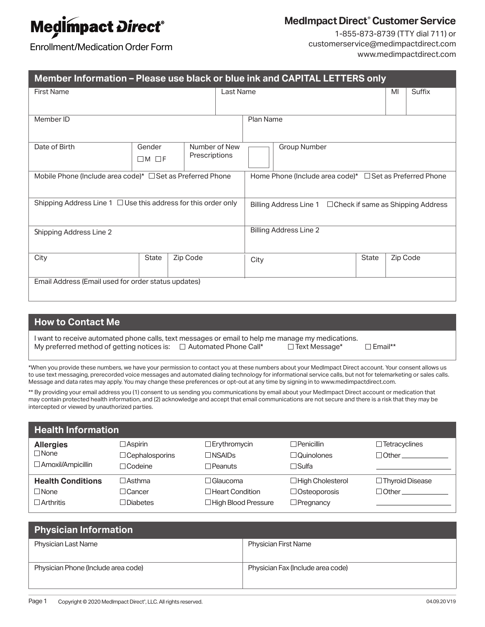# **Medimpact Direct®**

## **MedImpact Direct® Customer Service**

Enrollment/Medication Order Form

1-855-873-8739 (TTY dial 711) or customerservice@medimpactdirect.com www.medimpactdirect.com

| Member Information - Please use black or blue ink and CAPITAL LETTERS only |                   |          |                                                                    |           |              |  |    |          |
|----------------------------------------------------------------------------|-------------------|----------|--------------------------------------------------------------------|-----------|--------------|--|----|----------|
| <b>First Name</b>                                                          |                   |          |                                                                    | Last Name |              |  | MI | Suffix   |
|                                                                            |                   |          |                                                                    |           |              |  |    |          |
| Member ID                                                                  |                   |          |                                                                    | Plan Name |              |  |    |          |
| Date of Birth                                                              | Gender            |          | Number of New<br>Prescriptions                                     |           | Group Number |  |    |          |
|                                                                            | $\Box M$ $\Box F$ |          |                                                                    |           |              |  |    |          |
| Mobile Phone (Include area code)* □ Set as Preferred Phone                 |                   |          | Home Phone (Include area code)* □ Set as Preferred Phone           |           |              |  |    |          |
| Shipping Address Line $1 \square$ Use this address for this order only     |                   |          | Billing Address Line $1 \square$ Check if same as Shipping Address |           |              |  |    |          |
| Shipping Address Line 2                                                    |                   |          | <b>Billing Address Line 2</b>                                      |           |              |  |    |          |
| City                                                                       | <b>State</b>      | Zip Code |                                                                    |           | City         |  |    | Zip Code |
| Email Address (Email used for order status updates)                        |                   |          |                                                                    |           |              |  |    |          |

### **How to Contact Me**

I want to receive automated phone calls, text messages or email to help me manage my medications.<br>My preferred method of getting notices is:  $\square$  Automated Phone Call\*  $\square$  Text Message\* My preferred method of getting notices is:  $\square$  Automated Phone Call\*  $\square$  Text Message\*  $\square$  Email\*\*

\*When you provide these numbers, we have your permission to contact you at these numbers about your MedImpact Direct account. Your consent allows us to use text messaging, prerecorded voice messages and automated dialing technology for informational service calls, but not for telemarketing or sales calls. Message and data rates may apply. You may change these preferences or opt-out at any time by signing in to www.medimpactdirect.com.

\*\* By providing your email address you (1) consent to us sending you communications by email about your MedImpact Direct account or medication that may contain protected health information, and (2) acknowledge and accept that email communications are not secure and there is a risk that they may be intercepted or viewed by unauthorized parties.

| <b>Health Information</b> |                       |                        |                         |                        |  |
|---------------------------|-----------------------|------------------------|-------------------------|------------------------|--|
| <b>Allergies</b>          | $\Box$ Aspirin        | $\Box$ Erythromycin    | $\Box$ Penicillin       | $\Box$ Tetracyclines   |  |
| $\Box$ None               | $\Box$ Cephalosporins | $\Box$ NSAIDs          | $\Box$ Quinolones       | $\Box$ Other           |  |
| □ Amoxil/Ampicillin       | $\Box$ Codeine        | $\Box$ Peanuts         | $\square$ Sulfa         |                        |  |
| <b>Health Conditions</b>  | $\Box$ Asthma         | $\Box$ Glaucoma        | $\Box$ High Cholesterol | $\Box$ Thyroid Disease |  |
| $\Box$ None               | $\Box$ Cancer         | $\Box$ Heart Condition | $\Box$ Osteoporosis     | $\Box$ Other           |  |
| $\Box$ Arthritis          | □Diabetes             | □High Blood Pressure   | $\Box$ Pregnancy        |                        |  |

| <b>Physician Information</b>        |                                   |  |  |  |
|-------------------------------------|-----------------------------------|--|--|--|
| <b>Physician Last Name</b>          | <b>Physician First Name</b>       |  |  |  |
| Physician Phone (Include area code) | Physician Fax (Include area code) |  |  |  |